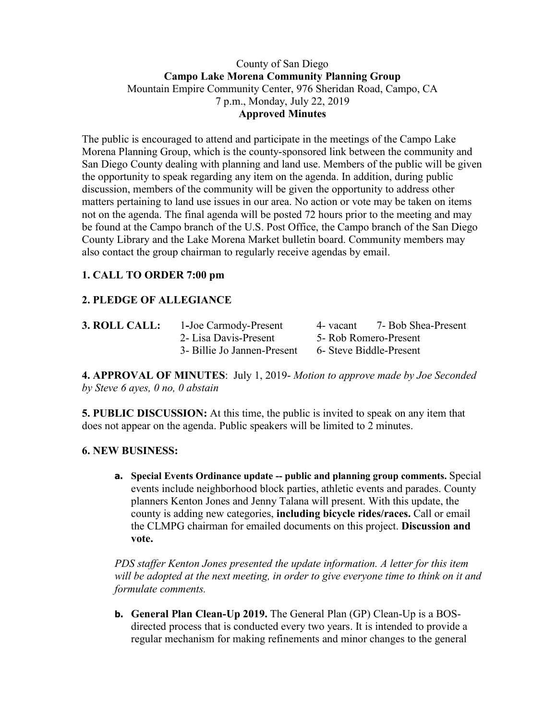#### County of San Diego **Campo Lake Morena Community Planning Group** Mountain Empire Community Center, 976 Sheridan Road, Campo, CA 7 p.m., Monday, July 22, 2019 **Approved Minutes**

The public is encouraged to attend and participate in the meetings of the Campo Lake Morena Planning Group, which is the county-sponsored link between the community and San Diego County dealing with planning and land use. Members of the public will be given the opportunity to speak regarding any item on the agenda. In addition, during public discussion, members of the community will be given the opportunity to address other matters pertaining to land use issues in our area. No action or vote may be taken on items not on the agenda. The final agenda will be posted 72 hours prior to the meeting and may be found at the Campo branch of the U.S. Post Office, the Campo branch of the San Diego County Library and the Lake Morena Market bulletin board. Community members may also contact the group chairman to regularly receive agendas by email.

# **1. CALL TO ORDER 7:00 pm**

# **2. PLEDGE OF ALLEGIANCE**

| 3. ROLL CALL: | 1-Joe Carmody-Present       | 4- vacant                                        | 7- Bob Shea-Present |
|---------------|-----------------------------|--------------------------------------------------|---------------------|
|               | 2- Lisa Davis-Present       | 5- Rob Romero-Present<br>6- Steve Biddle-Present |                     |
|               | 3- Billie Jo Jannen-Present |                                                  |                     |

**4. APPROVAL OF MINUTES**: July 1, 2019- *Motion to approve made by Joe Seconded by Steve 6 ayes, 0 no, 0 abstain*

**5. PUBLIC DISCUSSION:** At this time, the public is invited to speak on any item that does not appear on the agenda. Public speakers will be limited to 2 minutes.

#### **6. NEW BUSINESS:**

**a. Special Events Ordinance update -- public and planning group comments.** Special events include neighborhood block parties, athletic events and parades. County planners Kenton Jones and Jenny Talana will present. With this update, the county is adding new categories, **including bicycle rides/races.** Call or email the CLMPG chairman for emailed documents on this project. **Discussion and vote.** 

*PDS staffer Kenton Jones presented the update information. A letter for this item will be adopted at the next meeting, in order to give everyone time to think on it and formulate comments.* 

**b. General Plan Clean-Up 2019.** The General Plan (GP) Clean-Up is a BOSdirected process that is conducted every two years. It is intended to provide a regular mechanism for making refinements and minor changes to the general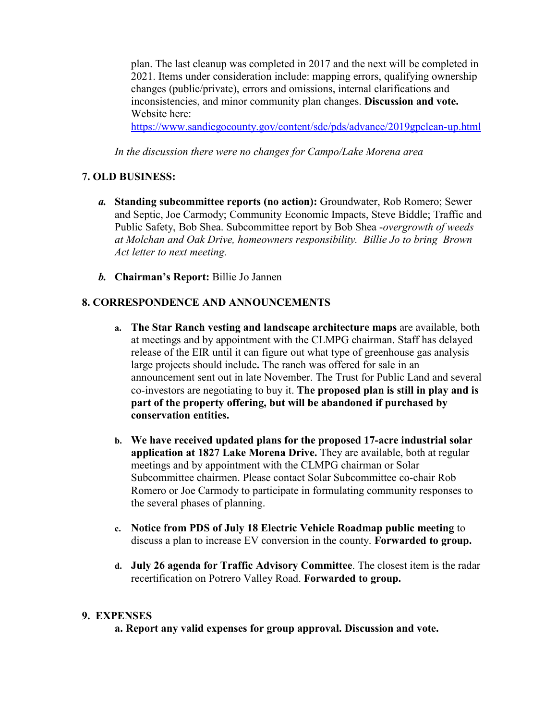plan. The last cleanup was completed in 2017 and the next will be completed in 2021. Items under consideration include: mapping errors, qualifying ownership changes (public/private), errors and omissions, internal clarifications and inconsistencies, and minor community plan changes. **Discussion and vote.** Website here:

https://www.sandiegocounty.gov/content/sdc/pds/advance/2019gpclean-up.html

*In the discussion there were no changes for Campo/Lake Morena area* 

### **7. OLD BUSINESS:**

- *a.* **Standing subcommittee reports (no action):** Groundwater, Rob Romero; Sewer and Septic, Joe Carmody; Community Economic Impacts, Steve Biddle; Traffic and Public Safety, Bob Shea. Subcommittee report by Bob Shea -*overgrowth of weeds at Molchan and Oak Drive, homeowners responsibility. Billie Jo to bring Brown Act letter to next meeting.*
- *b.* **Chairman's Report:** Billie Jo Jannen

## **8. CORRESPONDENCE AND ANNOUNCEMENTS**

- **a. The Star Ranch vesting and landscape architecture maps** are available, both at meetings and by appointment with the CLMPG chairman. Staff has delayed release of the EIR until it can figure out what type of greenhouse gas analysis large projects should include**.** The ranch was offered for sale in an announcement sent out in late November. The Trust for Public Land and several co-investors are negotiating to buy it. **The proposed plan is still in play and is part of the property offering, but will be abandoned if purchased by conservation entities.**
- **b. We have received updated plans for the proposed 17-acre industrial solar application at 1827 Lake Morena Drive.** They are available, both at regular meetings and by appointment with the CLMPG chairman or Solar Subcommittee chairmen. Please contact Solar Subcommittee co-chair Rob Romero or Joe Carmody to participate in formulating community responses to the several phases of planning.
- **c. Notice from PDS of July 18 Electric Vehicle Roadmap public meeting** to discuss a plan to increase EV conversion in the county. **Forwarded to group.**
- **d. July 26 agenda for Traffic Advisory Committee**. The closest item is the radar recertification on Potrero Valley Road. **Forwarded to group.**

#### **9. EXPENSES**

**a. Report any valid expenses for group approval. Discussion and vote.**